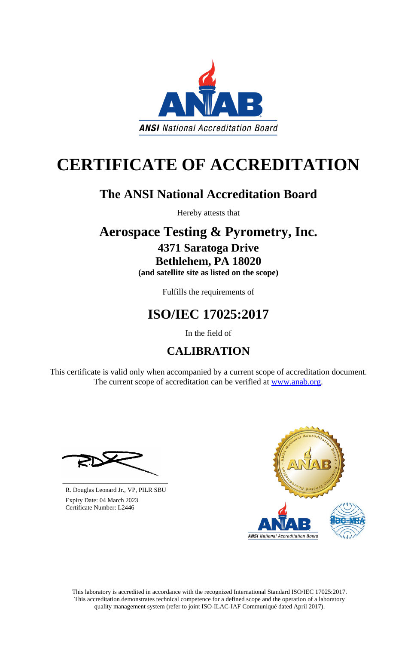This laboratory is accredited in accordance with the recognized International Standard ISO/IEC 17025:2017. This accreditation demonstrates technical competence for a defined scope and the operation of a laboratory quality management system (refer to joint ISO-ILAC-IAF Communiqué dated April 2017).

This certificate is valid only when accompanied by a current scope of accreditation document. The current scope of accreditation can be verified at [www.anab.org.](http://www.anab.org/)









# **CERTIFICATE OF ACCREDITATION**

# **The ANSI National Accreditation Board**

Hereby attests that

# **Aerospace Testing & Pyrometry, Inc. 4371 Saratoga Drive Bethlehem, PA 18020**

**(and satellite site as listed on the scope)**

Fulfills the requirements of

# **ISO/IEC 17025:2017**

In the field of

# **CALIBRATION**

**\_\_\_\_\_\_\_\_\_\_\_\_\_\_\_\_\_\_\_\_\_\_\_\_\_\_\_\_\_\_** R. Douglas Leonard Jr., VP, PILR SBU

 Expiry Date: 04 March 2023 Certificate Number: L2446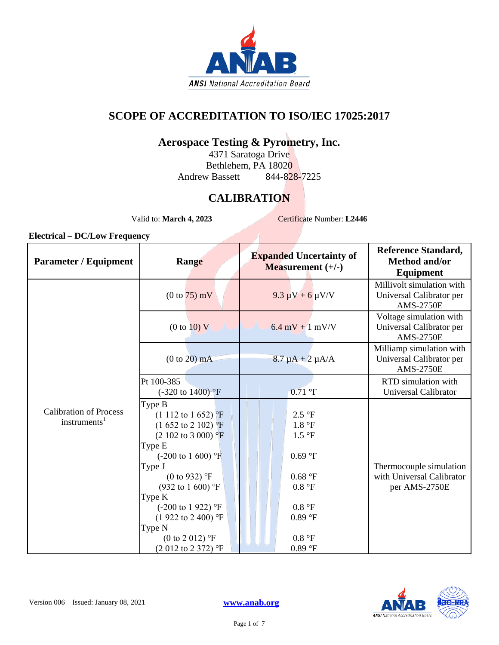

### **SCOPE OF ACCREDITATION TO ISO/IEC 17025:2017**

### **Aerospace Testing & Pyrometry, Inc.**

4371 Saratoga Drive Bethlehem, PA 18020 Andrew Bassett 844-828-7225

## **CALIBRATION**

Valid to: **March 4, 2023** Certificate Number: L2446

| Range                                                                                                                                                                                                                                                                                                                                             | <b>Expanded Uncertainty of</b><br>Measurement $(+/-)$                                     | <b>Reference Standard,</b><br><b>Method and/or</b><br>Equipment           |
|---------------------------------------------------------------------------------------------------------------------------------------------------------------------------------------------------------------------------------------------------------------------------------------------------------------------------------------------------|-------------------------------------------------------------------------------------------|---------------------------------------------------------------------------|
| $(0 to 75)$ mV                                                                                                                                                                                                                                                                                                                                    | $9.3 \mu V + 6 \mu V/V$                                                                   | Millivolt simulation with<br>Universal Calibrator per<br><b>AMS-2750E</b> |
| (0 to 10) V                                                                                                                                                                                                                                                                                                                                       | $6.4$ mV + 1 mV/V                                                                         | Voltage simulation with<br>Universal Calibrator per<br><b>AMS-2750E</b>   |
| $(0 to 20)$ mA                                                                                                                                                                                                                                                                                                                                    | $8.7 \mu A + 2 \mu A/A$                                                                   | Milliamp simulation with<br>Universal Calibrator per<br><b>AMS-2750E</b>  |
| Pt 100-385<br>$(-320 \text{ to } 1400)$ <sup>o</sup> F                                                                                                                                                                                                                                                                                            | $0.71$ °F                                                                                 | RTD simulation with<br>Universal Calibrator                               |
| Type B<br>$(1\ 112\ to\ 1\ 652)$ <sup>p</sup> F<br>$(1\ 652\ to\ 2\ 102)$ °F<br>$(2\ 102\ to\ 3\ 000)$ °F<br>Type E<br>$(-200 \text{ to } 1600)$ °F<br>Type J<br>(0 to 932) $^{\circ}$ F<br>$(932 \text{ to } 1600)$ °F<br>Type K<br>$(-200 \text{ to } 1922)$ °F<br>$(1922 \text{ to } 2400)$ °F<br>Type N<br>$(0 \text{ to } 2 \text{ 012})$ °F | 2.5 °F<br>1.8 °F<br>1.5 °F<br>0.69 °F<br>0.68 °F<br>0.8 °F<br>0.8 °F<br>0.89 °F<br>0.8 °F | Thermocouple simulation<br>with Universal Calibrator<br>per AMS-2750E     |
|                                                                                                                                                                                                                                                                                                                                                   | $(2012 \text{ to } 2372)$ °F                                                              | 0.89 °F                                                                   |

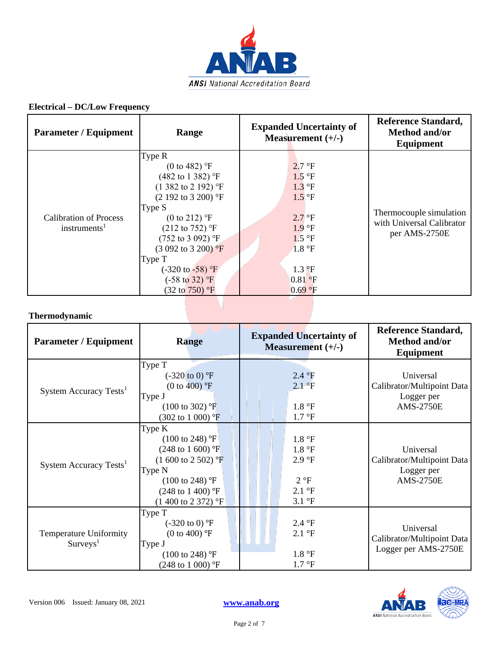

| <b>Parameter / Equipment</b>                              | Range                                                                                                                                                                                                                                                                                                                                                                                                 | <b>Expanded Uncertainty of</b><br>Measurement $(+/-)$                                                                                                          | <b>Reference Standard,</b><br><b>Method and/or</b><br>Equipment       |
|-----------------------------------------------------------|-------------------------------------------------------------------------------------------------------------------------------------------------------------------------------------------------------------------------------------------------------------------------------------------------------------------------------------------------------------------------------------------------------|----------------------------------------------------------------------------------------------------------------------------------------------------------------|-----------------------------------------------------------------------|
| <b>Calibration of Process</b><br>instruments <sup>1</sup> | Type R<br>(0 to 482) $\textdegree F$<br>$(482 \text{ to } 1382)$ °F<br>$(1\,382\text{ to } 2\,192)$ °F<br>$(2\ 192\ \text{to}\ 3\ 200)$ °F<br>Type S<br>$(0 \text{ to } 212)$ °F<br>$(212 \text{ to } 752)$ °F<br>$(752 \text{ to } 3092)$ °F<br>$(3.092 \text{ to } 3.200) \text{°F}$<br>Type T<br>$(-320 \text{ to } -58)$ °F<br>$(-58 \text{ to } 32)$ <sup>o</sup> F<br>$(32 \text{ to } 750)$ °F | $2.7 \text{ }^{\circ}F$<br>1.5 °F<br>$1.3 \text{ }^{\circ}F$<br>$1.5^{\circ}$ F<br>$2.7$ °F<br>1.9 °F<br>1.5 °F<br>1.8 °F<br>$1.3 P$ F<br>$0.81$ °F<br>0.69 °F | Thermocouple simulation<br>with Universal Calibrator<br>per AMS-2750E |

#### **Thermodynamic**

| <b>Parameter / Equipment</b>                             | <b>Range</b>                                                                                                                                                                                                              | <b>Expanded Uncertainty of</b><br>Measurement $(+/-)$                                            | Reference Standard,<br><b>Method and/or</b><br>Equipment                  |
|----------------------------------------------------------|---------------------------------------------------------------------------------------------------------------------------------------------------------------------------------------------------------------------------|--------------------------------------------------------------------------------------------------|---------------------------------------------------------------------------|
| System Accuracy Tests <sup>1</sup>                       | Type T<br>$(-320 \text{ to } 0)$ °F<br>(0 to 400) $^{\circ}$ F<br>Type J<br>$(100 \text{ to } 302)$ °F<br>$(302 \text{ to } 1000)$ °F                                                                                     | 2.4 °F<br>2.1 °F<br>1.8 °F<br>$1.7 \text{ }^{\circ}F$                                            | Universal<br>Calibrator/Multipoint Data<br>Logger per<br><b>AMS-2750E</b> |
| System Accuracy Tests <sup>1</sup>                       | Type K<br>$(100 \text{ to } 248)$ °F<br>$(248 \text{ to } 1\text{ }600)$ °F<br>$(1\ 600\ \text{to}\ 2\ 502)$ °F<br>Type N<br>$(100 \text{ to } 248)$ °F<br>$(248 \text{ to } 1400)$ °F<br>$(1\,400\,{\rm to}\,2\,372)$ °F | 1.8 °F<br>1.8 °F<br>2.9 °F<br>$2^{\circ}F$<br>$2.1 \text{ }^{\circ}F$<br>$3.1 \text{ }^{\circ}F$ | Universal<br>Calibrator/Multipoint Data<br>Logger per<br><b>AMS-2750E</b> |
| <b>Temperature Uniformity</b><br>$S$ urveys <sup>1</sup> | Type T<br>$(-320 \text{ to } 0)$ °F<br>(0 to 400) $\mathrm{P}F$<br>Type J<br>$(100 \text{ to } 248)$ °F<br>$(248 \text{ to } 1000)$ °F                                                                                    | 2.4 °F<br>$2.1 \text{ }^{\circ}F$<br>1.8 °F<br>$1.7 \text{ }^{\circ}F$                           | Universal<br>Calibrator/Multipoint Data<br>Logger per AMS-2750E           |

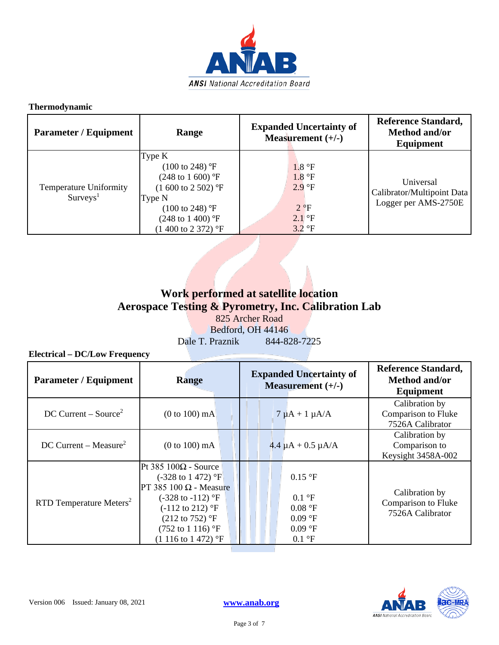

#### **Thermodynamic**

| <b>Parameter / Equipment</b>                         | Range                                                                                                                                                                                                            | <b>Expanded Uncertainty of</b><br>Measurement $(+/-)$                             | <b>Reference Standard,</b><br>Method and/or<br>Equipment        |
|------------------------------------------------------|------------------------------------------------------------------------------------------------------------------------------------------------------------------------------------------------------------------|-----------------------------------------------------------------------------------|-----------------------------------------------------------------|
| <b>Temperature Uniformity</b><br>Survys <sup>1</sup> | Type K<br>$(100 \text{ to } 248)$ °F<br>$(248 \text{ to } 1\,600)$ °F<br>$(1\ 600\ \text{to}\ 2\ 502)$ °F<br>Type N<br>$(100 \text{ to } 248)$ °F<br>$(248 \text{ to } 1400)$ °F<br>$(1400 \text{ to } 2372)$ °F | 1.8 °F<br>1.8 °F<br>2.9 °F<br>$2^{\circ}F$<br>$2.1$ °F<br>$3.2 \text{ }^{\circ}F$ | Universal<br>Calibrator/Multipoint Data<br>Logger per AMS-2750E |

### **Work performed at satellite location Aerospace Testing & Pyrometry, Inc. Calibration Lab** 825 Archer Road Bedford, OH 44146

Dale T. Praznik 844-828-7225

| <b>Parameter / Equipment</b>        | Range                                                                                                                                                                                                                                                    | <b>Expanded Uncertainty of</b><br>Measurement $(+/-)$                                            | <b>Reference Standard,</b><br><b>Method and/or</b><br>Equipment |
|-------------------------------------|----------------------------------------------------------------------------------------------------------------------------------------------------------------------------------------------------------------------------------------------------------|--------------------------------------------------------------------------------------------------|-----------------------------------------------------------------|
| $DC$ Current – Source <sup>2</sup>  | $(0 to 100)$ mA                                                                                                                                                                                                                                          | $7 \mu A + 1 \mu A/A$                                                                            | Calibration by<br>Comparison to Fluke<br>7526A Calibrator       |
| DC Current – Measure <sup>2</sup>   | $(0 to 100)$ mA                                                                                                                                                                                                                                          | $4.4 \mu A + 0.5 \mu A/A$                                                                        | Calibration by<br>Comparison to<br>Keysight 3458A-002           |
| RTD Temperature Meters <sup>2</sup> | Pt 385 $100\Omega$ - Source<br>$(-328 \text{ to } 1472)$ °F<br>PT 385 100 $\Omega$ - Measure<br>$(-328 \text{ to } -112)$ °F<br>$(-112 \text{ to } 212)$ °F<br>$(212 \text{ to } 752)$ °F<br>$(752 \text{ to } 1116)$ °F<br>$(1116 \text{ to } 1472)$ °F | $0.15$ °F<br>$0.1 \text{ }^{\circ}F$<br>0.08 °F<br>0.09 °F<br>0.09 °F<br>$0.1 \text{ }^{\circ}F$ | Calibration by<br>Comparison to Fluke<br>7526A Calibrator       |

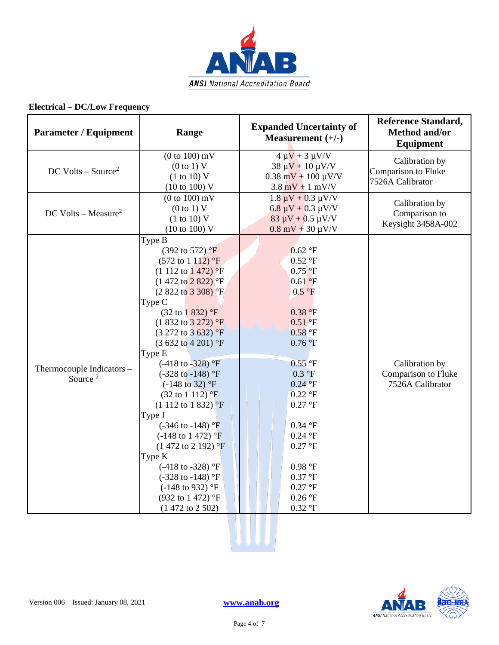

| <b>Parameter / Equipment</b>                     | Range                                                                                                                                                                                                                                                                                                                                                                                                                                                                                                                                                                                                                                                                                                                                                                                             | <b>Expanded Uncertainty of</b><br>Measurement $(+/-)$                                                                                                                                                                                                                                              | <b>Reference Standard,</b><br>Method and/or<br><b>Equipment</b> |
|--------------------------------------------------|---------------------------------------------------------------------------------------------------------------------------------------------------------------------------------------------------------------------------------------------------------------------------------------------------------------------------------------------------------------------------------------------------------------------------------------------------------------------------------------------------------------------------------------------------------------------------------------------------------------------------------------------------------------------------------------------------------------------------------------------------------------------------------------------------|----------------------------------------------------------------------------------------------------------------------------------------------------------------------------------------------------------------------------------------------------------------------------------------------------|-----------------------------------------------------------------|
| $DC$ Volts – Source <sup>2</sup>                 | $(0 to 100)$ mV<br>(0 to 1) V<br>(1 to 10) V<br>$(10 \text{ to } 100)$ V                                                                                                                                                                                                                                                                                                                                                                                                                                                                                                                                                                                                                                                                                                                          | $4 \mu V + 3 \mu V/V$<br>$38 \mu V + 10 \mu V/V$<br>$0.38$ mV + 100 $\mu$ V/V<br>$3.8 \text{ mV} + 1 \text{ mV/V}$                                                                                                                                                                                 | Calibration by<br>Comparison to Fluke<br>7526A Calibrator       |
| DC Volts – Measure <sup>2</sup>                  | $(0 to 100)$ mV<br>(0 to 1) V<br>(1 to 10) V<br>$(10 \text{ to } 100) \text{ V}$                                                                                                                                                                                                                                                                                                                                                                                                                                                                                                                                                                                                                                                                                                                  | $1.8 \mu V + 0.3 \mu V/V$<br>$6.8 \mu V + 0.3 \mu V/V$<br>$83 \mu V + 0.5 \mu V/V$<br>$0.8$ mV + 30 $\mu$ V/V                                                                                                                                                                                      | Calibration by<br>Comparison to<br>Keysight 3458A-002           |
| Thermocouple Indicators -<br>Source <sup>2</sup> | Type B<br>$(392 \text{ to } 572)$ °F<br>$(572 \text{ to } 1112)$ °F<br>$(1\ 112\ to\ 1\ 472)$ °F<br>$(1472 \text{ to } 2822)$ <sup>o</sup> F<br>$(2822 \text{ to } 3308)$ <sup>o</sup> F<br>Type C<br>(32 to 1 832) °F<br>$(1832 \text{ to } 3272)$ °F<br>$(3\ 272\ \text{to}\ 3\ 632)$ °F<br>$(3632 \text{ to } 4201)$ °F<br>Type E<br>$(-418 \text{ to } -328)$ °F<br>$(-328 \text{ to } -148)$ °F<br>$(-148 \text{ to } 32)$ °F<br>$(32 \text{ to } 1112)$ <sup>o</sup> F<br>$(1\ 112\ \text{to}\ 1\ 832)$ <sup>o</sup> F<br>Type J<br>$(-346 \text{ to } -148)$ °F<br>$(-148 \text{ to } 1472)$ °F<br>$(1472 \text{ to } 2192)$ °F<br>Type K<br>$(-418 \text{ to } -328)$ °F<br>$(-328 \text{ to } -148)$ °F<br>$(-148 \text{ to } 932)$ °F<br>(932 to 1 472) °F<br>$(1472 \text{ to } 2502)$ | 0.62 °F<br>0.52 °F<br>$0.75$ <sup>o</sup> F<br>$0.61$ °F<br>0.5 °F<br>0.38 °F<br>0.51 °F<br>$0.58$ °F<br>$0.76$ °F<br>$0.55$ °F<br>0.3 °F<br>0.24 °F<br>$0.22$ °F<br>$0.27$ °F<br>0.34 °F<br>$0.24$ °F<br>$0.27$ °F<br>0.98 °F<br>0.37 °F<br>$0.27$ °F<br>$0.26$ °F<br>$0.32\ ^{\circ }\mathrm{F}$ | Calibration by<br>Comparison to Fluke<br>7526A Calibrator       |

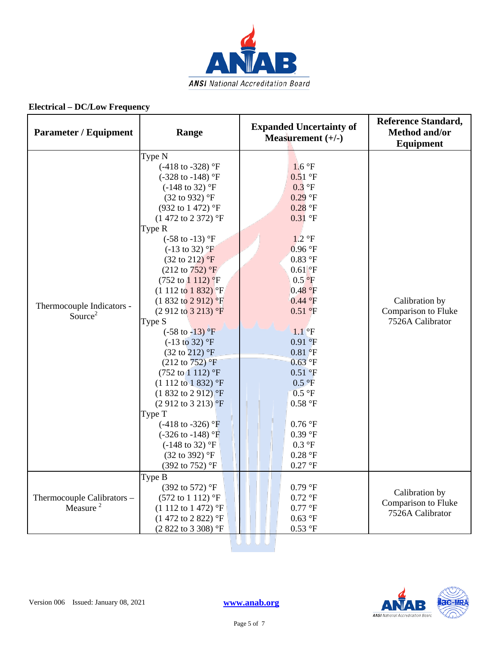

| <b>Parameter / Equipment</b>                       | Range                                                                                                                                                                                                                                                                                                                                                                                                                                                                                                                                                                                                                                                                                                                                                                                                                                                                               | <b>Expanded Uncertainty of</b><br>Measurement $(+/-)$                                                                                                                                                                                                                                                                                                              | <b>Reference Standard,</b><br>Method and/or<br><b>Equipment</b> |
|----------------------------------------------------|-------------------------------------------------------------------------------------------------------------------------------------------------------------------------------------------------------------------------------------------------------------------------------------------------------------------------------------------------------------------------------------------------------------------------------------------------------------------------------------------------------------------------------------------------------------------------------------------------------------------------------------------------------------------------------------------------------------------------------------------------------------------------------------------------------------------------------------------------------------------------------------|--------------------------------------------------------------------------------------------------------------------------------------------------------------------------------------------------------------------------------------------------------------------------------------------------------------------------------------------------------------------|-----------------------------------------------------------------|
| Thermocouple Indicators -<br>Source <sup>2</sup>   | Type N<br>$(-418 \text{ to } -328)$ °F<br>$(-328 \text{ to } -148)$ °F<br>$(-148 \text{ to } 32)$ °F<br>$(32 \text{ to } 932)$ °F<br>(932 to 1 472) °F<br>$(1472 \text{ to } 2372)$ °F<br>Type R<br>$(-58 \text{ to } -13)$ °F<br>$(-13 \text{ to } 32)$ °F<br>$(32 \text{ to } 212)$ °F<br>$(212 \text{ to } 752)$ °F<br>$(752 \text{ to } 1112)$ °F<br>$(1\ 112\ to\ 1\ 832)$ <sup>o</sup> F<br>$(1832 \text{ to } 2912)$ <sup>o</sup> F<br>$(2912 \text{ to } 3213)$ °F<br>Type S<br>$(-58 \text{ to } -13)$ °F<br>$(-13 \text{ to } 32)$ °F<br>$(32 \text{ to } 212)$ °F<br>$(212 \text{ to } 752)$ °F<br>$(752 \text{ to } 1112)$ °F<br>$(1\ 112\ to\ 1\ 832)$ °F<br>$(1832 \text{ to } 2912)$ °F<br>$(2912 \text{ to } 3213)$ °F<br>Type T<br>$(-418 \text{ to } -326)$ °F<br>$(-326 \text{ to } -148)$ °F<br>$(-148 \text{ to } 32)$ °F<br>(32 to 392) °F<br>(392 to 752) °F | 1.6 °F<br>$0.51$ °F<br>$0.3$ °F<br>$0.29$ °F<br>$0.28$ °F<br>$0.31$ °F<br>$1.2 \text{ }^{\circ}F$<br>0.96 °F<br>$0.83$ °F<br>$0.61$ °F<br>$0.5$ <sup>o</sup> F<br>0.48 °F<br>0.44 °F<br>$0.51$ °F<br>$1.1$ °F<br>0.91 °F<br>0.81 <sup>°</sup> F<br>$0.63$ °F<br>0.51 °F<br>0.5 °F<br>0.5 °F<br>$0.58$ °F<br>$0.76$ °F<br>0.39 °F<br>0.3 °F<br>$0.28$ °F<br>0.27 °F | Calibration by<br>Comparison to Fluke<br>7526A Calibrator       |
| Thermocouple Calibrators -<br>Measure <sup>2</sup> | Type B<br>(392 to 572) °F<br>$(572 \text{ to } 1112)$ °F<br>$(1\ 112\ to\ 1\ 472)$ °F<br>$(1472 \text{ to } 2822)$ °F<br>$(2822 \text{ to } 3308)$ °F                                                                                                                                                                                                                                                                                                                                                                                                                                                                                                                                                                                                                                                                                                                               | 0.79 °F<br>$0.72 \text{ }^{\circ}F$<br>0.77 °F<br>$0.63$ °F<br>$0.53~^\circ\rm{F}$                                                                                                                                                                                                                                                                                 | Calibration by<br>Comparison to Fluke<br>7526A Calibrator       |
|                                                    |                                                                                                                                                                                                                                                                                                                                                                                                                                                                                                                                                                                                                                                                                                                                                                                                                                                                                     |                                                                                                                                                                                                                                                                                                                                                                    |                                                                 |

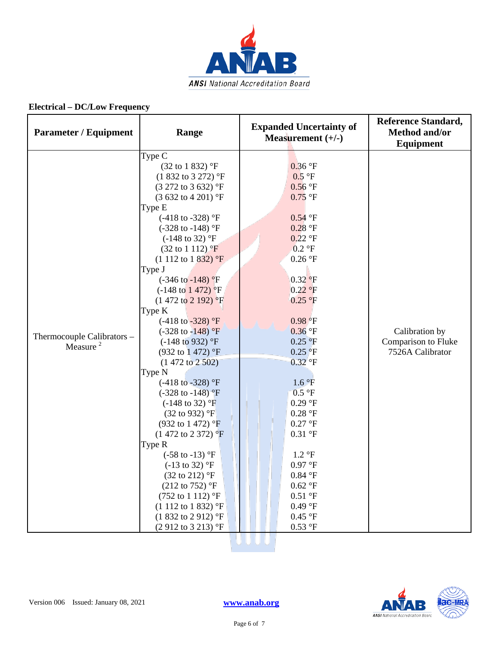

| <b>Parameter / Equipment</b>                       | Range                                                                                                                                                                                                                                                                                                                                                                                                                                                                                                                                                                                                                                                                                                                                                                                                                                                                                                                                                                                                                                                                     | <b>Expanded Uncertainty of</b><br>Measurement $(+/-)$                                                                                                                                                                                                                                                                                                                                                                                             | <b>Reference Standard,</b><br>Method and/or<br><b>Equipment</b> |
|----------------------------------------------------|---------------------------------------------------------------------------------------------------------------------------------------------------------------------------------------------------------------------------------------------------------------------------------------------------------------------------------------------------------------------------------------------------------------------------------------------------------------------------------------------------------------------------------------------------------------------------------------------------------------------------------------------------------------------------------------------------------------------------------------------------------------------------------------------------------------------------------------------------------------------------------------------------------------------------------------------------------------------------------------------------------------------------------------------------------------------------|---------------------------------------------------------------------------------------------------------------------------------------------------------------------------------------------------------------------------------------------------------------------------------------------------------------------------------------------------------------------------------------------------------------------------------------------------|-----------------------------------------------------------------|
| Thermocouple Calibrators -<br>Measure <sup>2</sup> | Type C<br>$(32 \text{ to } 1 \text{ } 832)$ °F<br>$(1832 \text{ to } 3272)$ °F<br>$(3\ 272\ \text{to}\ 3\ 632)$ °F<br>(3 632 to 4 201) °F<br>Type E<br>$(-418 \text{ to } -328)$ °F<br>$(-328 \text{ to } -148)$ °F<br>$(-148 \text{ to } 32)$ °F<br>$(32 \text{ to } 1112)$ °F<br>$(1\ 112\ to\ 1\ 832)$ °F<br>Type J<br>$(-346 \text{ to } -148)$ °F<br>$(-148 \text{ to } 1472)$ °F<br>$(1472 \text{ to } 2192)$ <sup>o</sup> F<br>Type K<br>$(-418 \text{ to } -328)$ °F<br>$(-328 \text{ to } -148)$ °F<br>$(-148 \text{ to } 932)$ °F<br>(932 to 1 472) °F<br>$(1472 \text{ to } 2502)$<br>Type N<br>$(-418 \text{ to } -328)$ °F<br>$(-328 \text{ to } -148)$ <sup>o</sup> F<br>$(-148 \text{ to } 32)$ °F<br>$(32 \text{ to } 932)$ °F<br>$(932 \text{ to } 1472)$ °F<br>$(1472 \text{ to } 2372)$ °F<br>Type R<br>$(-58 \text{ to } -13)$ °F<br>$(-13 \text{ to } 32)$ °F<br>$(32 \text{ to } 212)$ °F<br>$(212 \text{ to } 752)$ °F<br>$(752 \text{ to } 1112)$ °F<br>$(1\ 112\ to\ 1\ 832)$ °F<br>$(1832 \text{ to } 2912)$ °F<br>$(2912 \text{ to } 3213)$ °F | $0.36$ °F<br>0.5 °F<br>$0.56$ °F<br>$0.75$ °F<br>$0.54$ °F<br>$0.28$ °F<br>$0.22$ °F<br>$0.2 \text{ }^{\circ}F$<br>$0.26$ °F<br>0.32 °F<br>0.22 °F<br>$0.25$ °F<br>$0.98$ <sup>o</sup> F<br>$0.36$ °F<br>$0.25$ °F<br>$0.25$ °F<br>$0.32$ °F<br>1.6 °F<br>0.5 °F<br>$0.29$ °F<br>0.28 °F<br>0.27 °F<br>0.31 °F<br>$1.2 \text{ }^{\circ}F$<br>0.97 °F<br>$0.84$ °F<br>$0.62\text{ }^{\circ}\text{F}$<br>0.51 °F<br>0.49 °F<br>0.45 °F<br>$0.53$ °F | Calibration by<br>Comparison to Fluke<br>7526A Calibrator       |
|                                                    |                                                                                                                                                                                                                                                                                                                                                                                                                                                                                                                                                                                                                                                                                                                                                                                                                                                                                                                                                                                                                                                                           |                                                                                                                                                                                                                                                                                                                                                                                                                                                   |                                                                 |